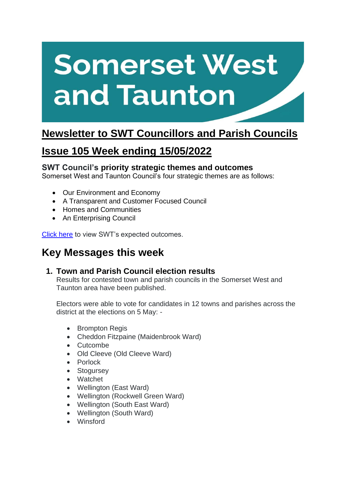# **Somerset West** and Taunton

## **Newsletter to SWT Councillors and Parish Councils**

## **Issue 105 Week ending 15/05/2022**

#### **SWT Council's priority strategic themes and outcomes**

Somerset West and Taunton Council's four strategic themes are as follows:

- Our Environment and Economy
- A Transparent and Customer Focused Council
- Homes and Communities
- An Enterprising Council

[Click here](https://www.somersetwestandtaunton.gov.uk/your-council/corporate-strategy/) to view SWT's expected outcomes.

## **Key Messages this week**

#### **1. Town and Parish Council election results**

Results for contested town and parish councils in the Somerset West and Taunton area have been published.

Electors were able to vote for candidates in 12 towns and parishes across the district at the elections on 5 May: -

- Brompton Regis
- Cheddon Fitzpaine (Maidenbrook Ward)
- Cutcombe
- Old Cleeve (Old Cleeve Ward)
- Porlock
- Stogursey
- Watchet
- Wellington (East Ward)
- Wellington (Rockwell Green Ward)
- Wellington (South East Ward)
- Wellington (South Ward)
- Winsford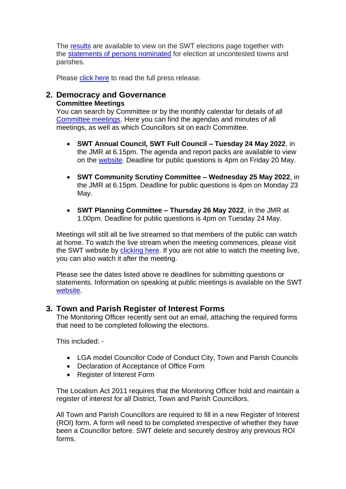The [results](https://www.somersetwestandtaunton.gov.uk/media/3365/parish-council-results-may-2022.pdf) are available to view on the SWT elections page together with the [statements of persons](https://www.somersetwestandtaunton.gov.uk/media/3326/statements-of-persons-nominated-uncontested-parishes.pdf) nominated for election at uncontested towns and parishes.

Please [click here](https://www.somersetwestandtaunton.gov.uk/news/town-and-parish-council-election-results/) to read the full press release.

#### **2. Democracy and Governance Committee Meetings**

You can search by Committee or by the monthly calendar for details of all [Committee meetings.](https://www.somersetwestandtaunton.gov.uk/your-council/council-meetings/) Here you can find the agendas and minutes of all meetings, as well as which Councillors sit on each Committee.

- **SWT Annual Council, SWT Full Council – Tuesday 24 May 2022**, in the JMR at 6.15pm. The agenda and report packs are available to view on the [website.](https://democracy.somersetwestandtaunton.gov.uk/ieListDocuments.aspx?MId=2891&x=1) Deadline for public questions is 4pm on Friday 20 May.
- **SWT Community Scrutiny Committee – Wednesday 25 May 2022**, in the JMR at 6.15pm. Deadline for public questions is 4pm on Monday 23 May.
- **SWT Planning Committee – Thursday 26 May 2022**, in the JMR at 1.00pm. Deadline for public questions is 4pm on Tuesday 24 May.

Meetings will still all be live streamed so that members of the public can watch at home. To watch the live stream when the meeting commences, please visit the SWT website by [clicking here.](https://democracy.somersetwestandtaunton.gov.uk/mgCalendarMonthView.aspx) If you are not able to watch the meeting live, you can also watch it after the meeting.

Please see the dates listed above re deadlines for submitting questions or statements. Information on speaking at public meetings is available on the SWT [website.](https://www.somersetwestandtaunton.gov.uk/your-council/speaking-at-a-council-meeting/)

#### **3. Town and Parish Register of Interest Forms**

The Monitoring Officer recently sent out an email, attaching the required forms that need to be completed following the elections.

This included: -

- LGA model Councillor Code of Conduct City, Town and Parish Councils
- Declaration of Acceptance of Office Form
- Register of Interest Form

The Localism Act 2011 requires that the Monitoring Officer hold and maintain a register of interest for all District, Town and Parish Councillors.

All Town and Parish Councillors are required to fill in a new Register of Interest (ROI) form. A form will need to be completed irrespective of whether they have been a Councillor before. SWT delete and securely destroy any previous ROI forms.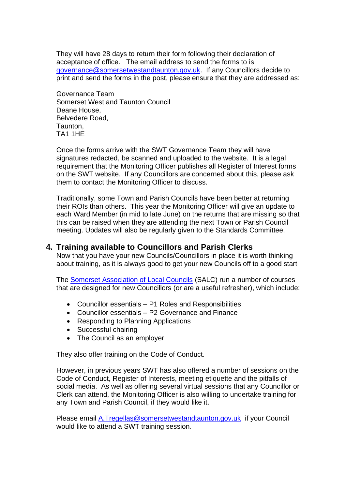They will have 28 days to return their form following their declaration of acceptance of office. The email address to send the forms to is [governance@somersetwestandtaunton.gov.uk.](mailto:governance@somersetwestandtaunton.gov.uk) If any Councillors decide to print and send the forms in the post, please ensure that they are addressed as:

Governance Team Somerset West and Taunton Council Deane House, Belvedere Road, Taunton, TA1 1HE

Once the forms arrive with the SWT Governance Team they will have signatures redacted, be scanned and uploaded to the website. It is a legal requirement that the Monitoring Officer publishes all Register of Interest forms on the SWT website. If any Councillors are concerned about this, please ask them to contact the Monitoring Officer to discuss.

Traditionally, some Town and Parish Councils have been better at returning their ROIs than others. This year the Monitoring Officer will give an update to each Ward Member (in mid to late June) on the returns that are missing so that this can be raised when they are attending the next Town or Parish Council meeting. Updates will also be regularly given to the Standards Committee.

#### **4. Training available to Councillors and Parish Clerks**

Now that you have your new Councils/Councillors in place it is worth thinking about training, as it is always good to get your new Councils off to a good start

The [Somerset Association of Local Councils](https://www.somerset-alc.org.uk/) (SALC) run a number of courses that are designed for new Councillors (or are a useful refresher), which include:

- Councillor essentials P1 Roles and Responsibilities
- Councillor essentials P2 Governance and Finance
- Responding to Planning Applications
- Successful chairing
- The Council as an employer

They also offer training on the Code of Conduct.

However, in previous years SWT has also offered a number of sessions on the Code of Conduct, Register of Interests, meeting etiquette and the pitfalls of social media. As well as offering several virtual sessions that any Councillor or Clerk can attend, the Monitoring Officer is also willing to undertake training for any Town and Parish Council, if they would like it.

Please email [A.Tregellas@somersetwestandtaunton.gov.uk](mailto:A.Tregellas@somersetwestandtaunton.gov.uk) if your Council would like to attend a SWT training session.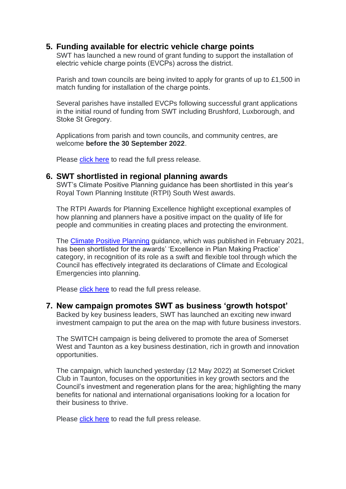#### **5. Funding available for electric vehicle charge points**

SWT has launched a new round of grant funding to support the installation of electric vehicle charge points (EVCPs) across the district. 

Parish and town councils are being invited to apply for grants of up to £1,500 in match funding for installation of the charge points. 

Several parishes have installed EVCPs following successful grant applications in the initial round of funding from SWT including Brushford, Luxborough, and Stoke St Gregory. 

Applications from parish and town councils, and community centres, are welcome **before the 30 September 2022**. 

Please [click here](https://www.somersetwestandtaunton.gov.uk/news/funding-available-for-electric-vehicle-charge-points/) to read the full press release.

#### **6. SWT shortlisted in regional planning awards**

SWT's Climate Positive Planning guidance has been shortlisted in this year's Royal Town Planning Institute (RTPI) South West awards.

The RTPI Awards for Planning Excellence highlight exceptional examples of how planning and planners have a positive impact on the quality of life for people and communities in creating places and protecting the environment.

The [Climate Positive Planning](https://www.somersetwestandtaunton.gov.uk/planning-policy/climate-positive-planning/) guidance, which was published in February 2021, has been shortlisted for the awards' 'Excellence in Plan Making Practice' category, in recognition of its role as a swift and flexible tool through which the Council has effectively integrated its declarations of Climate and Ecological Emergencies into planning.

Please [click here](https://www.somersetwestandtaunton.gov.uk/news/swt-shortlisted-in-regional-planning-awards/) to read the full press release.

#### **7. New campaign promotes SWT as business 'growth hotspot'**

Backed by key business leaders, SWT has launched an exciting new inward investment campaign to put the area on the map with future business investors.

The SWITCH campaign is being delivered to promote the area of Somerset West and Taunton as a key business destination, rich in growth and innovation opportunities.

The campaign, which launched yesterday (12 May 2022) at Somerset Cricket Club in Taunton, focuses on the opportunities in key growth sectors and the Council's investment and regeneration plans for the area; highlighting the many benefits for national and international organisations looking for a location for their business to thrive.

Please [click here](https://www.somersetwestandtaunton.gov.uk/news/new-campaign-promotes-swt-as-business-growth-hotspot/) to read the full press release.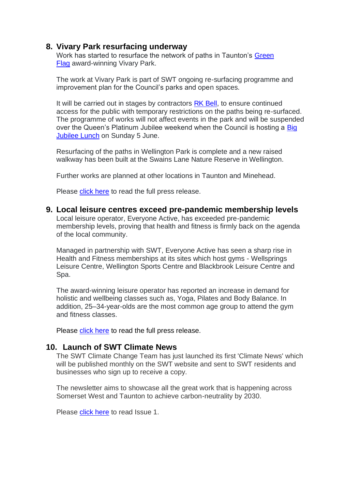#### **8. Vivary Park resurfacing underway**

Work has started to resurface the network of paths in Taunton's Green [Flag](https://www.somersetwestandtaunton.gov.uk/news/swt-celebrates-green-flag-awards/) award-winning Vivary Park.

The work at Vivary Park is part of SWT ongoing re-surfacing programme and improvement plan for the Council's parks and open spaces.

It will be carried out in stages by contractors [RK Bell,](https://www.rkbell.com/) to ensure continued access for the public with temporary restrictions on the paths being re-surfaced. The programme of works will not affect events in the park and will be suspended over the Queen's Platinum Jubilee weekend when the Council is hosting a Big [Jubilee Lunch](https://www.somersetwestandtaunton.gov.uk/news/celebrate-the-queen-s-platinum-jubilee-with-swt/) on Sunday 5 June.

Resurfacing of the paths in Wellington Park is complete and a new raised walkway has been built at the Swains Lane Nature Reserve in Wellington.

Further works are planned at other locations in Taunton and Minehead.

Please [click here](https://www.somersetwestandtaunton.gov.uk/news/vivary-park-resurfacing-underway/) to read the full press release.

**9. Local leisure centres exceed pre-pandemic membership levels** Local leisure operator, Everyone Active, has exceeded pre-pandemic membership levels, proving that health and fitness is firmly back on the agenda of the local community.

Managed in partnership with SWT, Everyone Active has seen a sharp rise in Health and Fitness memberships at its sites which host gyms - Wellsprings Leisure Centre, Wellington Sports Centre and Blackbrook Leisure Centre and Spa.

The award-winning leisure operator has reported an increase in demand for holistic and wellbeing classes such as, Yoga, Pilates and Body Balance. In addition, 25–34-year-olds are the most common age group to attend the gym and fitness classes.

Please [click here](https://www.somersetwestandtaunton.gov.uk/news/local-leisure-centres-exceed-pre-pandemic-membership-levels/) to read the full press release.

#### **10. Launch of SWT Climate News**

The SWT Climate Change Team has just launched its first 'Climate News' which will be published monthly on the SWT website and sent to SWT residents and businesses who sign up to receive a copy.

The newsletter aims to showcase all the great work that is happening across Somerset West and Taunton to achieve carbon-neutrality by 2030.

Please [click here](https://content.govdelivery.com/accounts/UKSWT/bulletins/316fd35) to read Issue 1.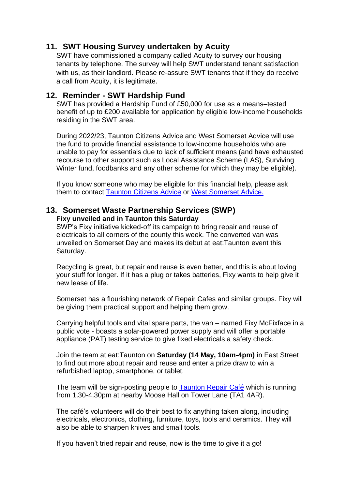#### **11. SWT Housing Survey undertaken by Acuity**

SWT have commissioned a company called Acuity to survey our housing tenants by telephone. The survey will help SWT understand tenant satisfaction with us, as their landlord. Please re-assure SWT tenants that if they do receive a call from Acuity, it is legitimate.

#### **12. Reminder - SWT Hardship Fund**

SWT has provided a Hardship Fund of £50,000 for use as a means–tested benefit of up to £200 available for application by eligible low-income households residing in the SWT area.

During 2022/23, Taunton Citizens Advice and West Somerset Advice will use the fund to provide financial assistance to low-income households who are unable to pay for essentials due to lack of sufficient means (and have exhausted recourse to other support such as Local Assistance Scheme (LAS), Surviving Winter fund, foodbanks and any other scheme for which they may be eligible).

If you know someone who may be eligible for this financial help, please ask them to contact [Taunton Citizens Advice](https://citizensadvicetaunton.org.uk/advice-form/) or [West Somerset Advice.](https://www.westsomersetadvice.org.uk/?page_id=172)

#### **13. Somerset Waste Partnership Services (SWP) Fixy unveiled and in Taunton this Saturday**

SWP's Fixy initiative kicked-off its campaign to bring repair and reuse of electricals to all corners of the county this week. The converted van was unveiled on Somerset Day and makes its debut at eat:Taunton event this Saturday.

Recycling is great, but repair and reuse is even better, and this is about loving your stuff for longer. If it has a plug or takes batteries, Fixy wants to help give it new lease of life.

Somerset has a flourishing network of Repair Cafes and similar groups. Fixy will be giving them practical support and helping them grow.

Carrying helpful tools and vital spare parts, the van – named Fixy McFixface in a public vote - boasts a solar-powered power supply and will offer a portable appliance (PAT) testing service to give fixed electricals a safety check.

Join the team at eat:Taunton on **Saturday (14 May, 10am-4pm)** in East Street to find out more about repair and reuse and enter a prize draw to win a refurbished laptop, smartphone, or tablet.

The team will be sign-posting people to [Taunton Repair Café](https://tauntontransition.wordpress.com/) which is running from 1.30-4.30pm at nearby Moose Hall on Tower Lane (TA1 4AR).

The café's volunteers will do their best to fix anything taken along, including electricals, electronics, clothing, furniture, toys, tools and ceramics. They will also be able to sharpen knives and small tools.

If you haven't tried repair and reuse, now is the time to give it a go!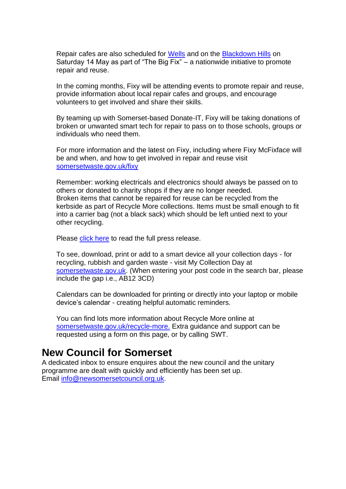Repair cafes are also scheduled for [Wells](https://www.sustainablewells.org.uk/repair-cafe-may-2022-the-big-fix/) and on the [Blackdown Hills](https://www.facebook.com/RepairCafeBlackdowns/) on Saturday 14 May as part of "The Big Fix" – a nationwide initiative to promote repair and reuse.

In the coming months, Fixy will be attending events to promote repair and reuse, provide information about local repair cafes and groups, and encourage volunteers to get involved and share their skills.

By teaming up with Somerset-based Donate-IT, Fixy will be taking donations of broken or unwanted smart tech for repair to pass on to those schools, groups or individuals who need them.

For more information and the latest on Fixy, including where Fixy McFixface will be and when, and how to get involved in repair and reuse visit [somersetwaste.gov.uk/fixy](https://www.somersetwaste.gov.uk/fixy/)

Remember: working electricals and electronics should always be passed on to others or donated to charity shops if they are no longer needed. Broken items that cannot be repaired for reuse can be recycled from the kerbside as part of Recycle More collections. Items must be small enough to fit into a carrier bag (not a black sack) which should be left untied next to your other recycling.

Please [click here](https://www.somersetwaste.gov.uk/fixy-love-your-stuff-for-longer/) to read the full press release.

To see, download, print or add to a smart device all your collection days - for recycling, rubbish and garden waste - visit My Collection Day at [somersetwaste.gov.uk.](http://somersetwaste.gov.uk/?fbclid=IwAR3velLcLjig3tJMBaJ5GN7pDKShb2Mg2BiPlOSisalKJMZO3zm6EWOEOKk) (When entering your post code in the search bar, please include the gap i.e., AB12 3CD)

Calendars can be downloaded for printing or directly into your laptop or mobile device's calendar - creating helpful automatic reminders.

You can find lots more information about Recycle More online at [somersetwaste.gov.uk/recycle-more.](https://www.somersetwaste.gov.uk/recycle-more/) Extra guidance and support can be requested using a form on this page, or by calling SWT.

## **New Council for Somerset**

A dedicated inbox to ensure enquires about the new council and the unitary programme are dealt with quickly and efficiently has been set up. Email [info@newsomersetcouncil.org.uk.](mailto:info@newsomersetcouncil.org.uk)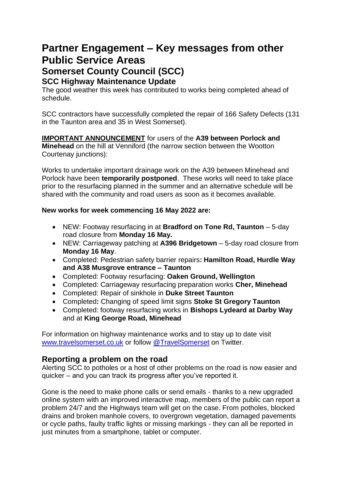# **Partner Engagement – Key messages from other Public Service Areas Somerset County Council (SCC)**

#### **SCC Highway Maintenance Update**

The good weather this week has contributed to works being completed ahead of schedule.

SCC contractors have successfully completed the repair of 166 Safety Defects (131 in the Taunton area and 35 in West Somerset).

**IMPORTANT ANNOUNCEMENT** for users of the **A39 between Porlock and Minehead** on the hill at Venniford (the narrow section between the Wootton Courtenay junctions):

Works to undertake important drainage work on the A39 between Minehead and Porlock have been **temporarily postponed**. These works will need to take place prior to the resurfacing planned in the summer and an alternative schedule will be shared with the community and road users as soon as it becomes available.

#### **New works for week commencing 16 May 2022 are:**

- NEW: Footway resurfacing in at **Bradford on Tone Rd, Taunton**  5-day road closure from **Monday 16 May.**
- NEW: Carriageway patching at **A396 Bridgetown**  5-day road closure from **Monday 16 May**.
- Completed: Pedestrian safety barrier repairs**: Hamilton Road, Hurdle Way and A38 Musgrove entrance – Taunton**
- Completed: Footway resurfacing: **Oaken Ground, Wellington**
- Completed: Carriageway resurfacing preparation works **Cher, Minehead**
- Completed: Repair of sinkhole in **Duke Street Taunton**
- Completed**:** Changing of speed limit signs **Stoke St Gregory Taunton**
- Completed: footway resurfacing works in **Bishops Lydeard at Darby Way** and at **King George Road, Minehead**

For information on highway maintenance works and to stay up to date visit [www.travelsomerset.co.uk](http://www.travelsomerset.co.uk/) or follow [@TravelSomerset](https://twitter.com/search?q=%40TravelSomerset&src=recent_search_click) on Twitter.

#### **Reporting a problem on the road**

Alerting SCC to potholes or a host of other problems on the road is now easier and quicker – and you can track its progress after you've reported it.

Gone is the need to make phone calls or send emails - thanks to a new upgraded online system with an improved interactive map, members of the public can report a problem 24/7 and the Highways team will get on the case. From potholes, blocked drains and broken manhole covers, to overgrown vegetation, damaged pavements or cycle paths, faulty traffic lights or missing markings - they can all be reported in just minutes from a smartphone, tablet or computer.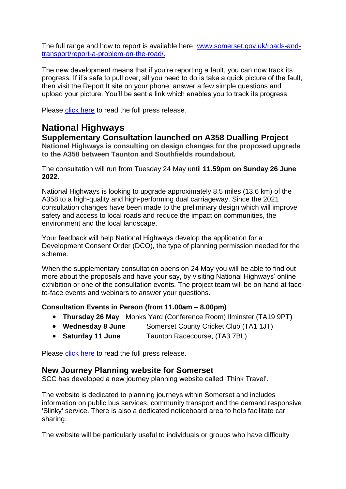The full range and how to report is available here [www.somerset.gov.uk/roads-and](http://www.somerset.gov.uk/roads-and-transport/report-a-problem-on-the-road/)[transport/report-a-problem-on-the-road/.](http://www.somerset.gov.uk/roads-and-transport/report-a-problem-on-the-road/)

The new development means that if you're reporting a fault, you can now track its progress. If it's safe to pull over, all you need to do is take a quick picture of the fault, then visit the Report It site on your phone, answer a few simple questions and upload your picture. You'll be sent a link which enables you to track its progress.

Please [click here](https://somersetnewsroom.com/2021/12/13/reporting-a-problem-on-the-road-is-now-a-hole-lot-easier/) to read the full press release.

## **National Highways**

**Supplementary Consultation launched on A358 Dualling Project**

**National Highways is consulting on design changes for the proposed upgrade to the A358 between Taunton and Southfields roundabout.**

The consultation will run from Tuesday 24 May until **11.59pm on Sunday 26 June 2022.**

National Highways is looking to upgrade approximately 8.5 miles (13.6 km) of the A358 to a high-quality and high-performing dual carriageway. Since the 2021 consultation changes have been made to the preliminary design which will improve safety and access to local roads and reduce the impact on communities, the environment and the local landscape.

Your feedback will help National Highways develop the application for a Development Consent Order (DCO), the type of planning permission needed for the scheme.

When the supplementary consultation opens on 24 May you will be able to find out more about the proposals and have your say, by visiting National Highways' online exhibition or one of the consultation events. The project team will be on hand at faceto-face events and webinars to answer your questions.

#### **Consultation Events in Person (from 11.00am – 8.00pm)**

- **Thursday 26 May** Monks Yard (Conference Room) Ilminster (TA19 9PT)
- **Wednesday 8 June** Somerset County Cricket Club (TA1 1JT)
- **Saturday 11 June** Taunton Racecourse, (TA3 7BL)

Please [click here](https://nationalhighways.co.uk/our-work/south-west/a358-taunton-to-southfields/) to read the full press release.

#### **New Journey Planning website for Somerset**

SCC has developed a new journey planning website called 'Think Travel'. 

The website is dedicated to planning journeys within Somerset and includes information on public bus services, community transport and the demand responsive 'Slinky' service. There is also a dedicated noticeboard area to help facilitate car sharing.

The website will be particularly useful to individuals or groups who have difficulty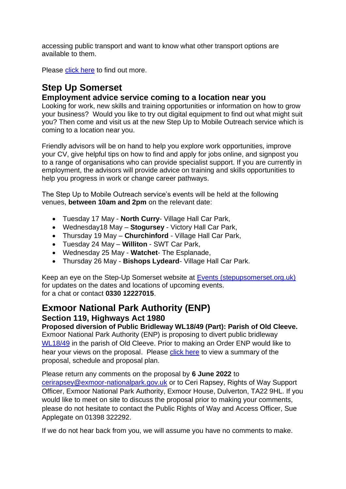accessing public transport and want to know what other transport options are available to them.

Please [click here](https://somerset.thinktravel.info/) to find out more.

## **Step Up Somerset**

#### **Employment advice service coming to a location near you**

Looking for work, new skills and training opportunities or information on how to grow your business? Would you like to try out digital equipment to find out what might suit you? Then come and visit us at the new Step Up to Mobile Outreach service which is coming to a location near you.

Friendly advisors will be on hand to help you explore work opportunities, improve your CV, give helpful tips on how to find and apply for jobs online, and signpost you to a range of organisations who can provide specialist support. If you are currently in employment, the advisors will provide advice on training and skills opportunities to help you progress in work or change career pathways.

The Step Up to Mobile Outreach service's events will be held at the following venues, **between 10am and 2pm** on the relevant date:

- Tuesday 17 May **North Curry** Village Hall Car Park,
- Wednesday18 May **Stogursey** Victory Hall Car Park,
- Thursday 19 May **Churchinford** Village Hall Car Park,
- Tuesday 24 May **Williton** SWT Car Park,
- Wednesday 25 May **Watchet** The Esplanade,
- Thursday 26 May **Bishops Lydeard** Village Hall Car Park.

Keep an eye on the Step-Up Somerset website at [Events \(stepupsomerset.org.uk\)](https://www.stepupsomerset.org.uk/events) for updates on the dates and locations of upcoming events. for a chat or contact **0330 12227015**.

#### **Exmoor National Park Authority (ENP) Section 119, Highways Act 1980**

**Proposed diversion of Public Bridleway WL18/49 (Part): Parish of Old Cleeve.** Exmoor National Park Authority (ENP) is proposing to divert public bridleway [WL18/49](https://www.exmoor-nationalpark.gov.uk/enjoying/out-and-about-essentials/paths-news/changes-to-the-path-network) in the parish of Old Cleeve. Prior to making an Order ENP would like to hear your views on the proposal. Please [click here](https://www.exmoor-nationalpark.gov.uk/__data/assets/pdf_file/0032/428828/Summary,-schedule-and-plan-of-Proposed-Diversion-WL18-49-Naked-Boys-Stone-May-2022.pdf) to view a summary of the proposal, schedule and proposal plan.

#### Please return any comments on the proposal by **6 June 2022** to [cerirapsey@exmoor-nationalpark.gov.uk](mailto:cerirapsey@exmoor-nationalpark.gov.uk) or to Ceri Rapsey, Rights of Way Support Officer, Exmoor National Park Authority, Exmoor House, Dulverton, TA22 9HL. If you would like to meet on site to discuss the proposal prior to making your comments, please do not hesitate to contact the Public Rights of Way and Access Officer, Sue Applegate on 01398 322292.

If we do not hear back from you, we will assume you have no comments to make.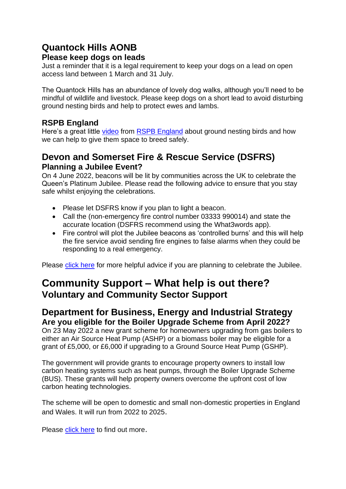## **Quantock Hills AONB**

#### **Please keep dogs on leads**

Just a reminder that it is a legal requirement to keep your dogs on a lead on open access land between 1 March and 31 July.

The Quantock Hills has an abundance of lovely dog walks, although you'll need to be mindful of wildlife and livestock. Please keep dogs on a short lead to avoid disturbing ground nesting birds and help to protect ewes and lambs.

#### **RSPB England**

Here's a great little [video](https://www.facebook.com/watch?v=1276430912878670) from [RSPB England](https://www.facebook.com/RSPBEngland) about ground nesting birds and how we can help to give them space to breed safely.

#### **Devon and Somerset Fire & Rescue Service (DSFRS) Planning a Jubilee Event?**

On 4 June 2022, beacons will be lit by communities across the UK to celebrate the Queen's Platinum Jubilee. Please read the following advice to ensure that you stay safe whilst enjoying the celebrations.

- Please let DSFRS know if you plan to light a beacon.
- Call the (non-emergency fire control number 03333 990014) and state the accurate location (DSFRS recommend using the What3words app).
- Fire control will plot the Jubilee beacons as 'controlled burns' and this will help the fire service avoid sending fire engines to false alarms when they could be responding to a real emergency.

Please [click here](https://www.dsfire.gov.uk/safety/outdoors/jubilee-celebrations?utm_source=Facebook&utm_medium=social&utm_campaign=Orlo) for more helpful advice if you are planning to celebrate the Jubilee.

## **Community Support – What help is out there? Voluntary and Community Sector Support**

#### **Department for Business, Energy and Industrial Strategy Are you eligible for the Boiler Upgrade Scheme from April 2022?**

On 23 May 2022 a new grant scheme for homeowners upgrading from gas boilers to either an Air Source Heat Pump (ASHP) or a biomass boiler may be eligible for a grant of £5,000, or £6,000 if upgrading to a Ground Source Heat Pump (GSHP).

The government will provide grants to encourage property owners to install low carbon heating systems such as heat pumps, through the Boiler Upgrade Scheme (BUS). These grants will help property owners overcome the upfront cost of low carbon heating technologies.

The scheme will be open to domestic and small non-domestic properties in England and Wales. It will run from 2022 to 2025.

Please [click here](https://www.gov.uk/guidance/check-if-you-may-be-eligible-for-the-boiler-upgrade-scheme-from-april-2022?msclkid=d53e6753af6a11ec8609ab845fd2b2ca) to find out more.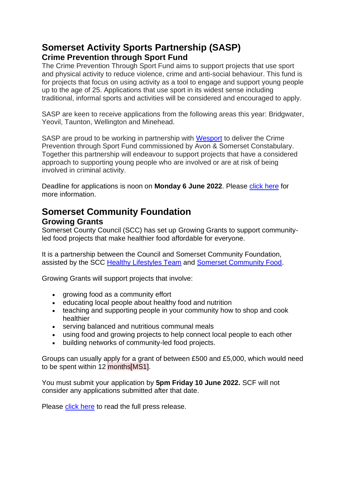## **Somerset Activity Sports Partnership (SASP) Crime Prevention through Sport Fund**

The Crime Prevention Through Sport Fund aims to support projects that use sport and physical activity to reduce violence, crime and anti-social behaviour. This fund is for projects that focus on using activity as a tool to engage and support young people up to the age of 25. Applications that use sport in its widest sense including traditional, informal sports and activities will be considered and encouraged to apply.

SASP are keen to receive applications from the following areas this year: Bridgwater, Yeovil, Taunton, Wellington and Minehead.

SASP are proud to be working in partnership with [Wesport](https://www.wesport.org.uk/) to deliver the Crime Prevention through Sport Fund commissioned by Avon & Somerset Constabulary. Together this partnership will endeavour to support projects that have a considered approach to supporting young people who are involved or are at risk of being involved in criminal activity.

Deadline for applications is noon on **Monday 6 June 2022**. Please [click here](https://www.sasp.co.uk/crime-prevention-fund?fbclid=IwAR18QxnAULNENOH5ymOrvSbwKMZzpE5xBj4bi5R-_rfIGVsLuftEJ93-WEk) for more information.

# **Somerset Community Foundation**

#### **Growing Grants**

Somerset County Council (SCC) has set up Growing Grants to support communityled food projects that make healthier food affordable for everyone.

It is a partnership between the Council and Somerset Community Foundation, assisted by the SCC [Healthy Lifestyles Team](https://choices.somerset.gov.uk/025/send/zing-somerset/) and [Somerset Community Food.](https://somersetcommunityfood.org.uk/)

Growing Grants will support projects that involve:

- growing food as a community effort
- educating local people about healthy food and nutrition
- teaching and supporting people in your community how to shop and cook healthier
- serving balanced and nutritious communal meals
- using food and growing projects to help connect local people to each other
- building networks of community-led food projects.

Groups can usually apply for a grant of between £500 and £5,000, which would need to be spent within 12 months[MS1].

You must submit your application by **5pm Friday 10 June 2022.** SCF will not consider any applications submitted after that date.

Please [click here](https://somersetcf.org.uk/growing) to read the full press release.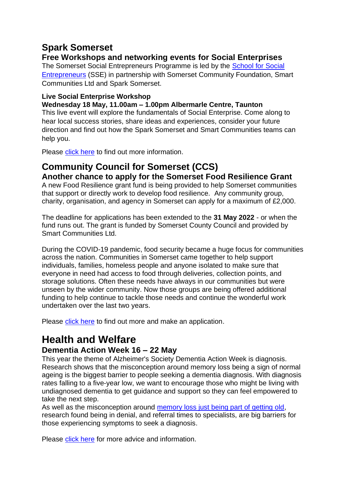## **Spark Somerset**

#### **Free Workshops and networking events for Social Enterprises**

The Somerset Social Entrepreneurs Programme is led by the [School for Social](https://www.the-sse.org/courses/more-about-the-sse-south-west-social-entrepreneurs-programmes/)  [Entrepreneurs](https://www.the-sse.org/courses/more-about-the-sse-south-west-social-entrepreneurs-programmes/) (SSE) in partnership with Somerset Community Foundation, Smart Communities Ltd and Spark Somerset.

#### **Live Social Enterprise Workshop**

**Wednesday 18 May, 11.00am – 1.00pm Albermarle Centre, Taunton**

This live event will explore the fundamentals of Social Enterprise. Come along to hear local success stories, share ideas and experiences, consider your future direction and find out how the Spark Somerset and Smart Communities teams can help you.

Please [click here](https://sparksomerset.org.uk/free-workshops-and-networking-events-social-enterprises) to find out more information.

# **Community Council for Somerset (CCS)**

**Another chance to apply for the Somerset Food Resilience Grant**

A new Food Resilience grant fund is being provided to help Somerset communities that support or directly work to develop food resilience. Any community group, charity, organisation, and agency in Somerset can apply for a maximum of £2,000.

The deadline for applications has been extended to the **31 May 2022** - or when the fund runs out. The grant is funded by Somerset County Council and provided by Smart Communities Ltd.

During the COVID-19 pandemic, food security became a huge focus for communities across the nation. Communities in Somerset came together to help support individuals, families, homeless people and anyone isolated to make sure that everyone in need had access to food through deliveries, collection points, and storage solutions. Often these needs have always in our communities but were unseen by the wider community. Now those groups are being offered additional funding to help continue to tackle those needs and continue the wonderful work undertaken over the last two years.

Please [click here](https://smartcommunities.online/new-food-resilience-grant-fund/) to find out more and make an application.

## **Health and Welfare**

#### **Dementia Action Week 16 – 22 May**

This year the theme of Alzheimer's Society Dementia Action Week is diagnosis. Research shows that the misconception around memory loss being a sign of normal ageing is the biggest barrier to people seeking a dementia diagnosis. With diagnosis rates falling to a five-year low, we want to encourage those who might be living with undiagnosed dementia to get guidance and support so they can feel empowered to take the next step.

As well as the misconception around [memory loss just being part of getting old,](https://newsletters.onyx-sites.io/?mailpoet_router&endpoint=track&action=click&data=WyI2NjM2IiwidHRzeGVycTFtamtrY29nMGtvOGcwZ2trODRvZ2t3YzAiLCIxNDQ3IiwiMzE4OTU0NGFmZjVmIixmYWxzZV0) research found being in denial, and referral times to specialists, are big barriers for those experiencing symptoms to seek a diagnosis.

Please [click here](https://www.alzheimers.org.uk/get-involved/dementia-action-week) for more advice and information.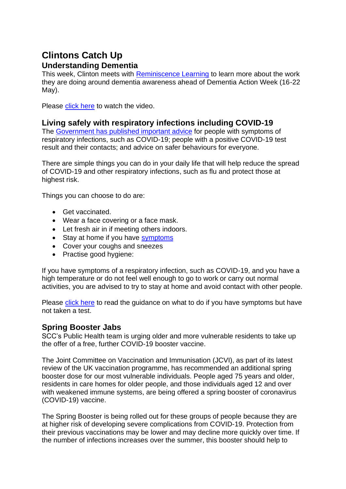## **Clintons Catch Up**

#### **Understanding Dementia**

This week, Clinton meets with [Reminiscence Learning](https://newsletters.onyx-sites.io/?mailpoet_router&endpoint=track&action=click&data=WyI2NjM2IiwidHRzeGVycTFtamtrY29nMGtvOGcwZ2trODRvZ2t3YzAiLCIxNDQ3IiwiNTcyNzgyM2FlN2E1IixmYWxzZV0) to learn more about the work they are doing around dementia awareness ahead of Dementia Action Week (16-22 May).

Please [click here](https://www.youtube.com/watch?v=-tMPJ4mAevo) to watch the video.

#### **Living safely with respiratory infections including COVID-19**

The [Government has published important advice](https://newsletters.onyx-sites.io/?mailpoet_router&endpoint=track&action=click&data=WyI2NjM2IiwidHRzeGVycTFtamtrY29nMGtvOGcwZ2trODRvZ2t3YzAiLCIxNDE5IiwiMTA5MGQ5NzhlMTg5IixmYWxzZV0) for people with symptoms of respiratory infections, such as COVID-19; people with a positive COVID-19 test result and their contacts; and advice on safer behaviours for everyone.

There are simple things you can do in your daily life that will help reduce the spread of COVID-19 and other respiratory infections, such as flu and protect those at highest risk.

Things you can choose to do are:

- Get vaccinated.
- Wear a face covering or a face mask.
- Let fresh air in if meeting others indoors.
- Stay at home if you have [symptoms](https://newsletters.onyx-sites.io/?mailpoet_router&endpoint=track&action=click&data=WyI1MjEiLCIxbWRhbWxvZnRhbjRnb2d3ODRrZ2s0azhzOHdzd3c0YyIsIjE0MTciLCI3MDMyNWYxYzNmODEiLGZhbHNlXQ)
- Cover your coughs and sneezes
- Practise good hygiene:

If you have symptoms of a respiratory infection, such as COVID-19, and you have a high temperature or do not feel well enough to go to work or carry out normal activities, you are advised to try to stay at home and avoid contact with other people.

Please [click here](https://www.gov.uk/guidance/people-with-symptoms-of-a-respiratory-infection-including-covid-19#what-to-do-if-you-have-symptoms-of-a-respiratory-infection-including-covid-19-and-have-not-taken-a-covid-19-test) to read the guidance on what to do if you have symptoms but have not taken a test.

#### **Spring Booster Jabs**

SCC's Public Health team is urging older and more vulnerable residents to take up the offer of a free, further COVID-19 booster vaccine.

The Joint Committee on Vaccination and Immunisation (JCVI), as part of its latest review of the UK vaccination programme, has recommended an additional spring booster dose for our most vulnerable individuals. People aged 75 years and older, residents in care homes for older people, and those individuals aged 12 and over with weakened immune systems, are being offered a spring booster of coronavirus (COVID-19) vaccine.

The Spring Booster is being rolled out for these groups of people because they are at higher risk of developing severe complications from COVID-19. Protection from their previous vaccinations may be lower and may decline more quickly over time. If the number of infections increases over the summer, this booster should help to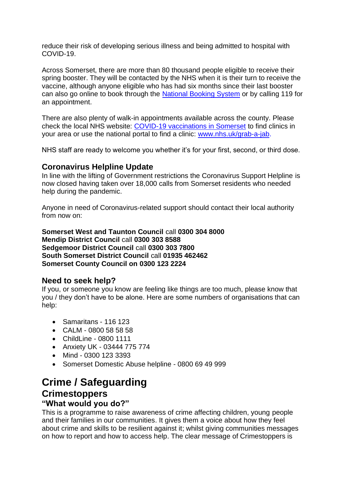reduce their risk of developing serious illness and being admitted to hospital with COVID-19.

Across Somerset, there are more than 80 thousand people eligible to receive their spring booster. They will be contacted by the NHS when it is their turn to receive the vaccine, although anyone eligible who has had six months since their last booster can also go online to book through the [National Booking System](https://bit.ly/SomersetCovidBookings) or by calling 119 for an appointment.

There are also plenty of walk-in appointments available across the county. Please check the local NHS website: [COVID-19 vaccinations in Somerset](https://www.somersetccg.nhs.uk/covid-vaccines/) to find clinics in your area or use the national portal to find a clinic: [www.nhs.uk/grab-a-jab.](https://newsletters.onyx-sites.io/?mailpoet_router&endpoint=track&action=click&data=WyI1MjEiLCIxbWRhbWxvZnRhbjRnb2d3ODRrZ2s0azhzOHdzd3c0YyIsIjEzOTkiLCJhYjE5NmExNWJkMmUiLGZhbHNlXQ)

NHS staff are ready to welcome you whether it's for your first, second, or third dose.

#### **Coronavirus Helpline Update**

In line with the lifting of Government restrictions the Coronavirus Support Helpline is now closed having taken over 18,000 calls from Somerset residents who needed help during the pandemic.

Anyone in need of Coronavirus-related support should contact their local authority from now on:

**Somerset West and Taunton Council** call **0300 304 8000 Mendip District Council** call **0300 303 8588 Sedgemoor District Council** call **0300 303 7800 South Somerset District Council** call **01935 462462 Somerset County Council on 0300 123 2224**

#### **Need to seek help?**

If you, or someone you know are feeling like things are too much, please know that you / they don't have to be alone. Here are some numbers of organisations that can help:

- Samaritans 116 123
- CALM 0800 58 58 58
- ChildLine 0800 1111
- Anxiety UK 03444 775 774
- Mind 0300 123 3393
- Somerset Domestic Abuse helpline 0800 69 49 999

## **Crime / Safeguarding Crimestoppers**

#### **"What would you do?"**

This is a programme to raise awareness of crime affecting children, young people and their families in our communities. It gives them a voice about how they feel about crime and skills to be resilient against it; whilst giving communities messages on how to report and how to access help. The clear message of Crimestoppers is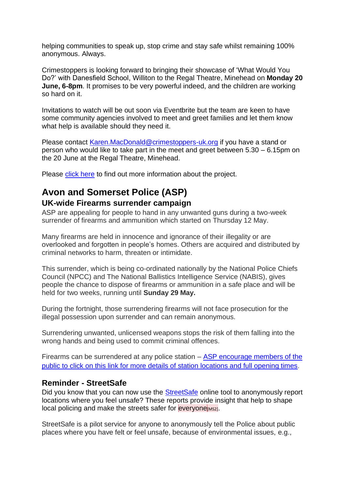helping communities to speak up, stop crime and stay safe whilst remaining 100% anonymous. Always.

Crimestoppers is looking forward to bringing their showcase of 'What Would You Do?' with Danesfield School, Williton to the Regal Theatre, Minehead on **Monday 20 June, 6-8pm**. It promises to be very powerful indeed, and the children are working so hard on it.

Invitations to watch will be out soon via Eventbrite but the team are keen to have some community agencies involved to meet and greet families and let them know what help is available should they need it.

Please contact [Karen.MacDonald@crimestoppers-uk.org](mailto:Karen.MacDonald@crimestoppers-uk.org) if you have a stand or person who would like to take part in the meet and greet between 5.30 – 6.15pm on the 20 June at the Regal Theatre, Minehead.

Please [click here](https://crimestoppers-uk.org/about-the-charity/who-we-work-with/trusts-and-foundations/what-would-you-do?msclkid=33055d7cd07311ec9ad3ebecbc83ac0c) to find out more information about the project.

# **Avon and Somerset Police (ASP)**

#### **UK-wide Firearms surrender campaign**

ASP are appealing for people to hand in any unwanted guns during a two-week surrender of firearms and ammunition which started on Thursday 12 May.

Many firearms are held in innocence and ignorance of their illegality or are overlooked and forgotten in people's homes. Others are acquired and distributed by criminal networks to harm, threaten or intimidate.

This surrender, which is being co-ordinated nationally by the National Police Chiefs Council (NPCC) and The National Ballistics Intelligence Service (NABIS), gives people the chance to dispose of firearms or ammunition in a safe place and will be held for two weeks, running until **Sunday 29 May.**

During the fortnight, those surrendering firearms will not face prosecution for the illegal possession upon surrender and can remain anonymous.

Surrendering unwanted, unlicensed weapons stops the risk of them falling into the wrong hands and being used to commit criminal offences.

Firearms can be surrendered at any police station  $-$  ASP encourage members of the [public to click on this link for more details of station locations and full opening times](https://www.avonandsomerset.police.uk/contact/police-stations/).

#### **Reminder - StreetSafe**

Did you know that you can now use the [StreetSafe](https://www.facebook.com/avonandsomersetpolice/videos/782310946067793) online tool to anonymously report locations where you feel unsafe? These reports provide insight that help to shape local policing and make the streets safer for everyone[MS2].

StreetSafe is a pilot service for anyone to anonymously tell the Police about public places where you have felt or feel unsafe, because of environmental issues, e.g.,